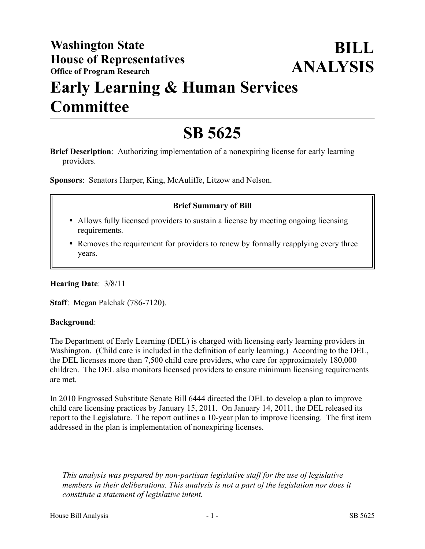# **Early Learning & Human Services Committee**

# **SB 5625**

**Brief Description**: Authorizing implementation of a nonexpiring license for early learning providers.

**Sponsors**: Senators Harper, King, McAuliffe, Litzow and Nelson.

#### **Brief Summary of Bill**

- Allows fully licensed providers to sustain a license by meeting ongoing licensing requirements.
- Removes the requirement for providers to renew by formally reapplying every three years.

**Hearing Date**: 3/8/11

**Staff**: Megan Palchak (786-7120).

#### **Background**:

The Department of Early Learning (DEL) is charged with licensing early learning providers in Washington. (Child care is included in the definition of early learning.) According to the DEL, the DEL licenses more than 7,500 child care providers, who care for approximately 180,000 children. The DEL also monitors licensed providers to ensure minimum licensing requirements are met.

In 2010 Engrossed Substitute Senate Bill 6444 directed the DEL to develop a plan to improve child care licensing practices by January 15, 2011. On January 14, 2011, the DEL released its report to the Legislature. The report outlines a 10-year plan to improve licensing. The first item addressed in the plan is implementation of nonexpiring licenses.

––––––––––––––––––––––

*This analysis was prepared by non-partisan legislative staff for the use of legislative members in their deliberations. This analysis is not a part of the legislation nor does it constitute a statement of legislative intent.*